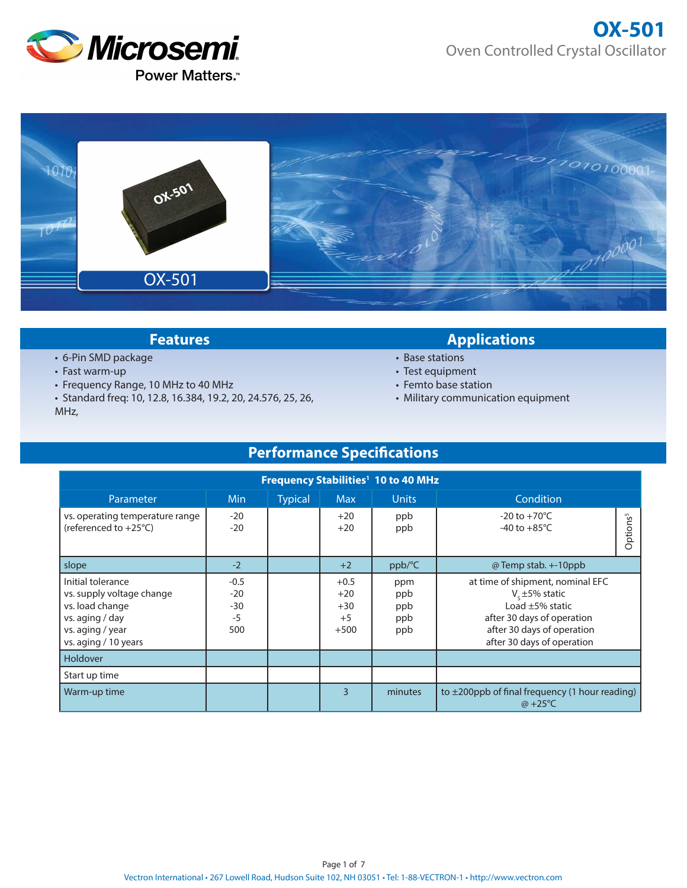



- 6-Pin SMD package
- Fast warm-up
- Frequency Range, 10 MHz to 40 MHz
- Standard freq: 10, 12.8, 16.384, 19.2, 20, 24.576, 25, 26, MHz,

### **Features Applications**

- Base stations
- Test equipment
- Femto base station
- Military communication equipment

# **Performance Specifications**

| Frequency Stabilities <sup>1</sup> 10 to 40 MHz                                                                                  |                                         |                |                                            |                                 |                                                                                                                                                                              |  |
|----------------------------------------------------------------------------------------------------------------------------------|-----------------------------------------|----------------|--------------------------------------------|---------------------------------|------------------------------------------------------------------------------------------------------------------------------------------------------------------------------|--|
| Parameter                                                                                                                        | Min                                     | <b>Typical</b> | <b>Max</b>                                 | <b>Units</b>                    | Condition                                                                                                                                                                    |  |
| vs. operating temperature range<br>(referenced to $+25^{\circ}$ C)                                                               | $-20$<br>$-20$                          |                | $+20$<br>$+20$                             | ppb<br>ppb                      | $-20$ to $+70^{\circ}$ C<br>Options <sup>5</sup><br>-40 to $+85^{\circ}$ C                                                                                                   |  |
| slope                                                                                                                            | $-2$                                    |                | $+2$                                       | ppb/°C                          | @ Temp stab. +-10ppb                                                                                                                                                         |  |
| Initial tolerance<br>vs. supply voltage change<br>vs. load change<br>vs. aging / day<br>vs. aging / year<br>vs. aging / 10 years | $-0.5$<br>$-20$<br>$-30$<br>$-5$<br>500 |                | $+0.5$<br>$+20$<br>$+30$<br>$+5$<br>$+500$ | ppm<br>ppb<br>ppb<br>ppb<br>ppb | at time of shipment, nominal EFC<br>$V_{\rm c}$ ±5% static<br>Load $\pm$ 5% static<br>after 30 days of operation<br>after 30 days of operation<br>after 30 days of operation |  |
| Holdover                                                                                                                         |                                         |                |                                            |                                 |                                                                                                                                                                              |  |
| Start up time                                                                                                                    |                                         |                |                                            |                                 |                                                                                                                                                                              |  |
| Warm-up time                                                                                                                     |                                         |                | $\mathbf{R}$                               | minutes                         | to $\pm$ 200ppb of final frequency (1 hour reading)<br>$\omega$ +25°C                                                                                                        |  |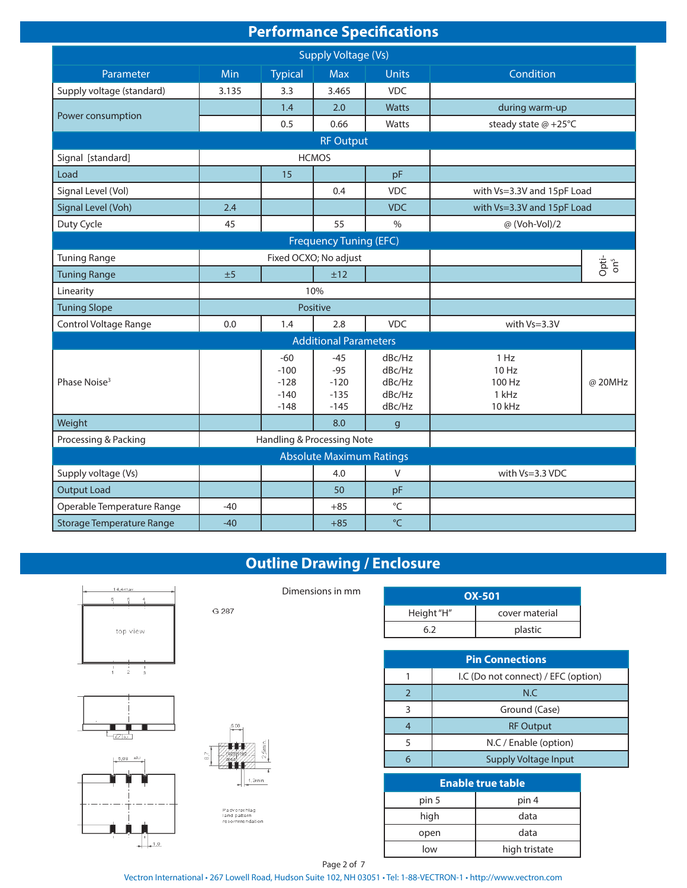| <b>Performance Specifications</b> |  |
|-----------------------------------|--|
|                                   |  |

| <b>Supply Voltage (Vs)</b>       |                              |                                               |                                              |                                                |                                            |                          |
|----------------------------------|------------------------------|-----------------------------------------------|----------------------------------------------|------------------------------------------------|--------------------------------------------|--------------------------|
| Parameter                        | Min                          | <b>Typical</b>                                | <b>Max</b>                                   | <b>Units</b>                                   | Condition                                  |                          |
| Supply voltage (standard)        | 3.135                        | 3.3                                           | 3.465                                        | <b>VDC</b>                                     |                                            |                          |
|                                  |                              | 1.4                                           | 2.0                                          | Watts                                          | during warm-up                             |                          |
| Power consumption                |                              | 0.5                                           | 0.66                                         | Watts                                          | steady state @ +25°C                       |                          |
|                                  |                              |                                               | <b>RF Output</b>                             |                                                |                                            |                          |
| Signal [standard]                |                              |                                               | <b>HCMOS</b>                                 |                                                |                                            |                          |
| Load                             |                              | 15                                            |                                              | pF                                             |                                            |                          |
| Signal Level (Vol)               |                              |                                               | 0.4                                          | <b>VDC</b>                                     | with Vs=3.3V and 15pF Load                 |                          |
| Signal Level (Voh)               | 2.4                          |                                               |                                              | <b>VDC</b>                                     | with Vs=3.3V and 15pF Load                 |                          |
| Duty Cycle                       | 45                           |                                               | 55                                           | $\frac{0}{0}$                                  | @ (Voh-Vol)/2                              |                          |
|                                  |                              |                                               | <b>Frequency Tuning (EFC)</b>                |                                                |                                            |                          |
| <b>Tuning Range</b>              |                              |                                               | Fixed OCXO; No adjust                        |                                                |                                            |                          |
| <b>Tuning Range</b>              | ±5                           |                                               | ±12                                          |                                                |                                            | Opti-<br>on <sup>5</sup> |
| Linearity                        | 10%                          |                                               |                                              |                                                |                                            |                          |
| <b>Tuning Slope</b>              | Positive                     |                                               |                                              |                                                |                                            |                          |
| Control Voltage Range            | 0.0                          | 1.4                                           | 2.8                                          | <b>VDC</b>                                     | with Vs=3.3V                               |                          |
|                                  | <b>Additional Parameters</b> |                                               |                                              |                                                |                                            |                          |
| Phase Noise <sup>3</sup>         |                              | $-60$<br>$-100$<br>$-128$<br>$-140$<br>$-148$ | $-45$<br>$-95$<br>$-120$<br>$-135$<br>$-145$ | dBc/Hz<br>dBc/Hz<br>dBc/Hz<br>dBc/Hz<br>dBc/Hz | 1 Hz<br>10 Hz<br>100 Hz<br>1 kHz<br>10 kHz | @ 20MHz                  |
| Weight                           |                              |                                               | 8.0                                          | $\mathbf{g}$                                   |                                            |                          |
| Processing & Packing             |                              |                                               | Handling & Processing Note                   |                                                |                                            |                          |
| <b>Absolute Maximum Ratings</b>  |                              |                                               |                                              |                                                |                                            |                          |
| Supply voltage (Vs)              |                              |                                               | 4.0                                          | V                                              | with Vs=3.3 VDC                            |                          |
| <b>Output Load</b>               |                              |                                               | 50                                           | pF                                             |                                            |                          |
| Operable Temperature Range       | $-40$                        |                                               | $+85$                                        | $^{\circ}$ C                                   |                                            |                          |
| <b>Storage Temperature Range</b> | $-40$                        |                                               | $+85$                                        | $\mathrm{C}$                                   |                                            |                          |

# **Outline Drawing / Enclosure**

Dimensions in mm





G 287

Padvorschlag<br>land pattern<br>recommendation

| <b>OX-501</b> |                |  |  |  |
|---------------|----------------|--|--|--|
| Height "H"    | cover material |  |  |  |
|               | plastic        |  |  |  |

| <b>Pin Connections</b> |                                     |  |  |  |
|------------------------|-------------------------------------|--|--|--|
|                        | I.C (Do not connect) / EFC (option) |  |  |  |
|                        | N.C                                 |  |  |  |
|                        | Ground (Case)                       |  |  |  |
|                        | <b>RF Output</b>                    |  |  |  |
|                        | N.C / Enable (option)               |  |  |  |
|                        | <b>Supply Voltage Input</b>         |  |  |  |

| <b>Enable true table</b> |               |  |  |  |
|--------------------------|---------------|--|--|--|
| pin 5                    | pin 4         |  |  |  |
| high                     | data          |  |  |  |
| open                     | data          |  |  |  |
| low                      | high tristate |  |  |  |

Vectron International • 267 Lowell Road, Hudson Suite 102, NH 03051 • Tel: 1-88-VECTRON-1 • http://www.vectron.com Page 2 of 7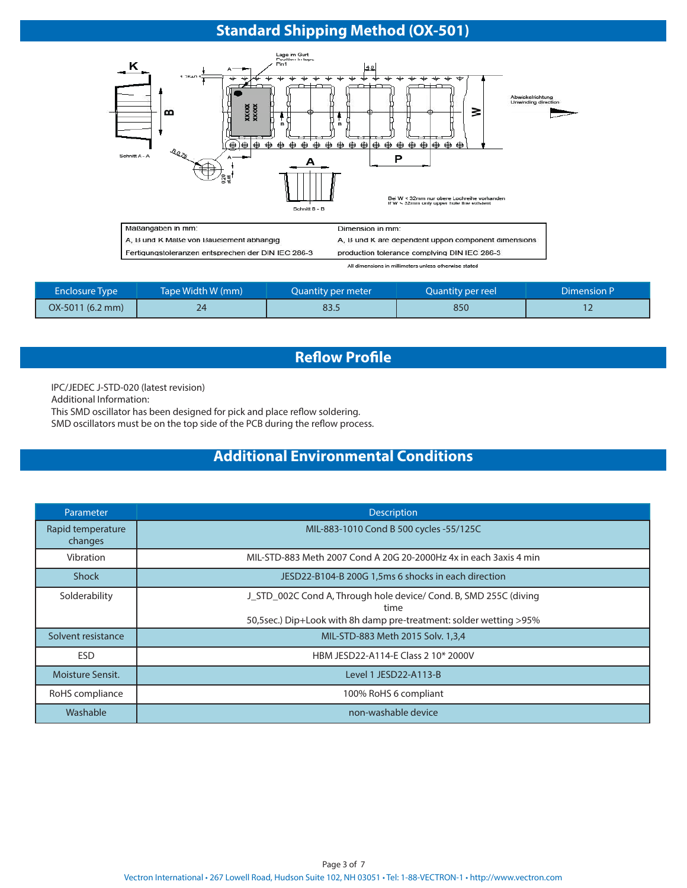# **Standard Shipping Method (OX-501)**



| All gimensions in millimeters unless otherwise stated |  |  |
|-------------------------------------------------------|--|--|
|                                                       |  |  |
|                                                       |  |  |

| <b>Enclosure Type</b>     | Tape Width W (mm) | Quantity per meter | Quantity per reel | Dimension P |
|---------------------------|-------------------|--------------------|-------------------|-------------|
| $OX-5011(6.2 \text{ mm})$ | 24                | 83.5               | 850               |             |

### **Reflow Profile**

IPC/JEDEC J-STD-020 (latest revision)

Additional Information:

This SMD oscillator has been designed for pick and place reflow soldering.

SMD oscillators must be on the top side of the PCB during the reflow process.

## **Additional Environmental Conditions**

| Parameter                    | <b>Description</b>                                                                                                                              |
|------------------------------|-------------------------------------------------------------------------------------------------------------------------------------------------|
| Rapid temperature<br>changes | MIL-883-1010 Cond B 500 cycles -55/125C                                                                                                         |
| Vibration                    | MIL-STD-883 Meth 2007 Cond A 20G 20-2000Hz 4x in each 3axis 4 min                                                                               |
| <b>Shock</b>                 | JESD22-B104-B 200G 1,5ms 6 shocks in each direction                                                                                             |
| Solderability                | J_STD_002C Cond A, Through hole device/ Cond. B, SMD 255C (diving<br>time<br>50,5sec.) Dip+Look with 8h damp pre-treatment: solder wetting >95% |
| Solvent resistance           | MIL-STD-883 Meth 2015 Solv. 1,3,4                                                                                                               |
| <b>ESD</b>                   | HBM JESD22-A114-E Class 2 10* 2000V                                                                                                             |
| Moisture Sensit.             | Level 1 JESD22-A113-B                                                                                                                           |
| RoHS compliance              | 100% RoHS 6 compliant                                                                                                                           |
| Washable                     | non-washable device                                                                                                                             |